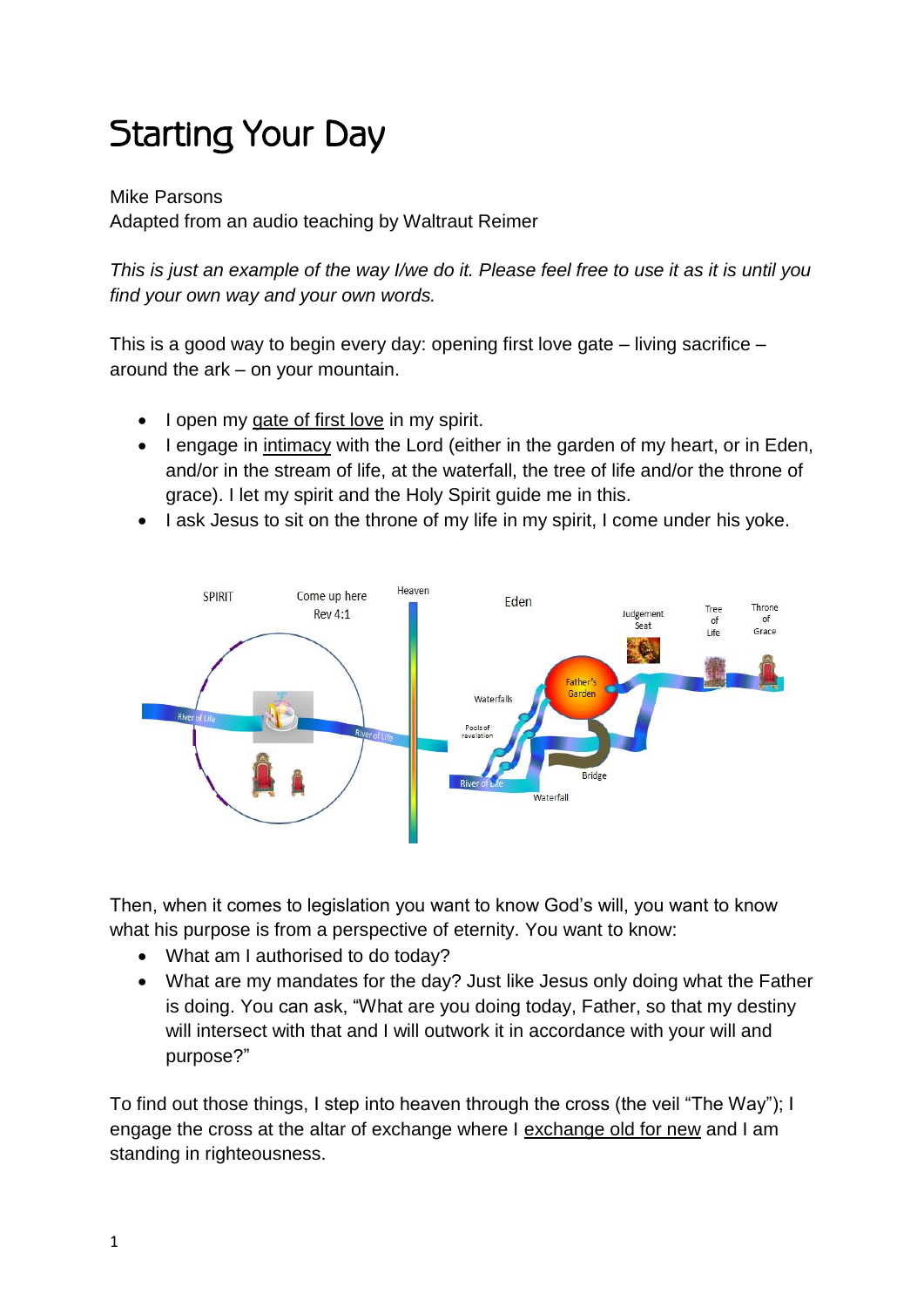## Starting Your Day

Mike Parsons Adapted from an audio teaching by Waltraut Reimer

*This is just an example of the way I/we do it. Please feel free to use it as it is until you find your own way and your own words.* 

This is a good way to begin every day: opening first love gate – living sacrifice – around the ark – on your mountain.

- I open my gate of first love in my spirit.
- I engage in intimacy with the Lord (either in the garden of my heart, or in Eden, and/or in the stream of life, at the waterfall, the tree of life and/or the throne of grace). I let my spirit and the Holy Spirit guide me in this.
- I ask Jesus to sit on the throne of my life in my spirit, I come under his yoke.



Then, when it comes to legislation you want to know God's will, you want to know what his purpose is from a perspective of eternity. You want to know:

- What am I authorised to do today?
- What are my mandates for the day? Just like Jesus only doing what the Father is doing. You can ask, "What are you doing today, Father, so that my destiny will intersect with that and I will outwork it in accordance with your will and purpose?"

To find out those things, I step into heaven through the cross (the veil "The Way"); I engage the cross at the altar of exchange where I exchange old for new and I am standing in righteousness.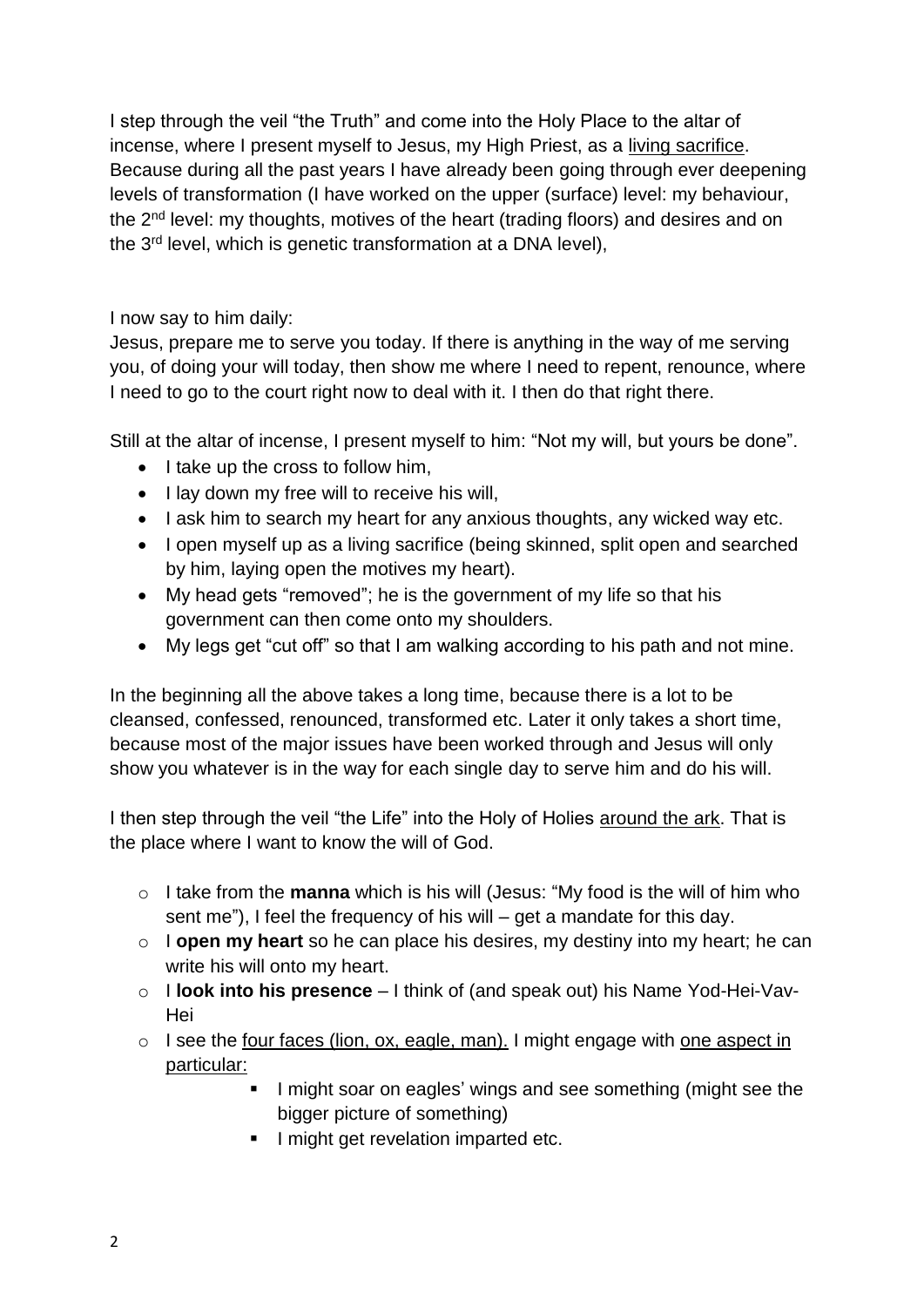I step through the veil "the Truth" and come into the Holy Place to the altar of incense, where I present myself to Jesus, my High Priest, as a living sacrifice. Because during all the past years I have already been going through ever deepening levels of transformation (I have worked on the upper (surface) level: my behaviour, the 2nd level: my thoughts, motives of the heart (trading floors) and desires and on the 3<sup>rd</sup> level, which is genetic transformation at a DNA level),

I now say to him daily:

Jesus, prepare me to serve you today. If there is anything in the way of me serving you, of doing your will today, then show me where I need to repent, renounce, where I need to go to the court right now to deal with it. I then do that right there.

Still at the altar of incense, I present myself to him: "Not my will, but yours be done".

- $\bullet$  I take up the cross to follow him,
- I lay down my free will to receive his will,
- I ask him to search my heart for any anxious thoughts, any wicked way etc.
- I open myself up as a living sacrifice (being skinned, split open and searched by him, laying open the motives my heart).
- My head gets "removed"; he is the government of my life so that his government can then come onto my shoulders.
- My legs get "cut off" so that I am walking according to his path and not mine.

In the beginning all the above takes a long time, because there is a lot to be cleansed, confessed, renounced, transformed etc. Later it only takes a short time, because most of the major issues have been worked through and Jesus will only show you whatever is in the way for each single day to serve him and do his will.

I then step through the veil "the Life" into the Holy of Holies around the ark. That is the place where I want to know the will of God.

- o I take from the **manna** which is his will (Jesus: "My food is the will of him who sent me"), I feel the frequency of his will – get a mandate for this day.
- o I **open my heart** so he can place his desires, my destiny into my heart; he can write his will onto my heart.
- o I **look into his presence** I think of (and speak out) his Name Yod-Hei-Vav-Hei
- o I see the four faces (lion, ox, eagle, man). I might engage with one aspect in particular:
	- I might soar on eagles' wings and see something (might see the bigger picture of something)
	- **I** might get revelation imparted etc.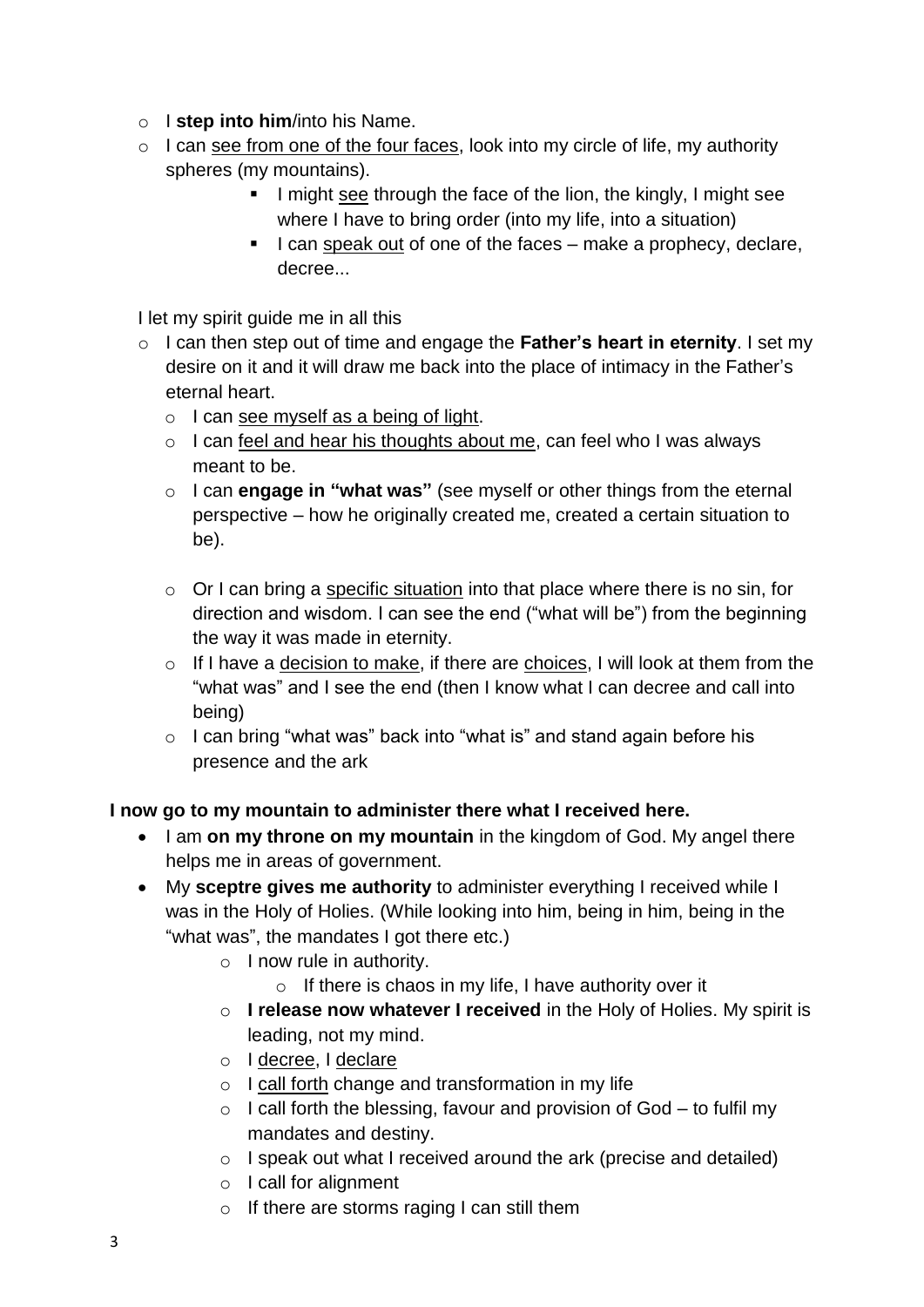- o I **step into him**/into his Name.
- $\circ$  I can see from one of the four faces, look into my circle of life, my authority spheres (my mountains).
	- I might see through the face of the lion, the kingly, I might see where I have to bring order (into my life, into a situation)
	- I can speak out of one of the faces  $-$  make a prophecy, declare, decree...

I let my spirit guide me in all this

- o I can then step out of time and engage the **Father's heart in eternity**. I set my desire on it and it will draw me back into the place of intimacy in the Father's eternal heart.
	- o I can see myself as a being of light.
	- o I can feel and hear his thoughts about me, can feel who I was always meant to be.
	- o I can **engage in "what was"** (see myself or other things from the eternal perspective – how he originally created me, created a certain situation to be).
	- o Or I can bring a specific situation into that place where there is no sin, for direction and wisdom. I can see the end ("what will be") from the beginning the way it was made in eternity.
	- o If I have a decision to make, if there are choices, I will look at them from the "what was" and I see the end (then I know what I can decree and call into being)
	- $\circ$  I can bring "what was" back into "what is" and stand again before his presence and the ark

## **I now go to my mountain to administer there what I received here.**

- I am on my throne on my mountain in the kingdom of God. My angel there helps me in areas of government.
- My **sceptre gives me authority** to administer everything I received while I was in the Holy of Holies. (While looking into him, being in him, being in the "what was", the mandates I got there etc.)
	- o I now rule in authority.
		- $\circ$  If there is chaos in my life, I have authority over it
	- o **I release now whatever I received** in the Holy of Holies. My spirit is leading, not my mind.
	- o I decree, I declare
	- $\circ$  I call forth change and transformation in my life
	- $\circ$  I call forth the blessing, favour and provision of God to fulfil my mandates and destiny.
	- o I speak out what I received around the ark (precise and detailed)
	- o I call for alignment
	- o If there are storms raging I can still them